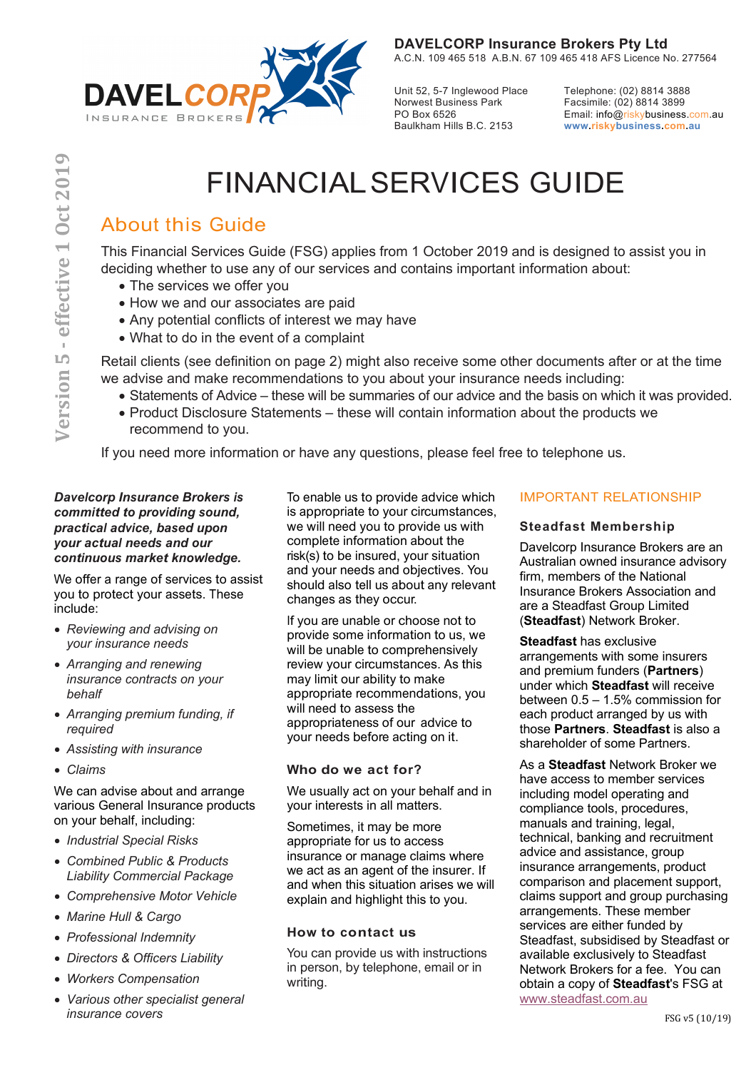

Unit 52, 5-7 Inglewood Place Norwest Business Park PO Box 6526 Baulkham Hills B.C. 2153

Telephone: (02) 8814 3888 Facsimile: (02) 8814 3899 Email: info@riskybusiness.com.au **www.riskybusiness.com.au**

# FINANCIALSERVICES GUIDE

# About this Guide

This Financial Services Guide (FSG) applies from 1 October 2019 and is designed to assist you in deciding whether to use any of our services and contains important information about:

- The services we offer you
- How we and our associates are paid
- Any potential conflicts of interest we may have
- What to do in the event of a complaint

Retail clients (see definition on page 2) might also receive some other documents after or at the time we advise and make recommendations to you about your insurance needs including:

- Statements of Advice these will be summaries of our advice and the basis on which it was provided.
- Product Disclosure Statements these will contain information about the products we recommend to you.

If you need more information or have any questions, please feel free to telephone us.

### *Davelcorp Insurance Brokers is committed to providing sound, practical advice, based upon your actual needs and our continuous market knowledge.*

We offer a range of services to assist you to protect your assets. These include:

- *Reviewing and advising on your insurance needs*
- *Arranging and renewing insurance contracts on your behalf*
- *Arranging premium funding, if required*
- *Assisting with insurance*
- *Claims*

We can advise about and arrange various General Insurance products on your behalf, including:

- *Industrial Special Risks*
- *Combined Public & Products Liability Commercial Package*
- *Comprehensive Motor Vehicle*
- *Marine Hull & Cargo*
- *Professional Indemnity*
- *Directors & Officers Liability*
- *Workers Compensation*
- *Various other specialist general insurance covers*

To enable us to provide advice which is appropriate to your circumstances, we will need you to provide us with complete information about the risk(s) to be insured, your situation and your needs and objectives. You should also tell us about any relevant changes as they occur.

If you are unable or choose not to provide some information to us, we will be unable to comprehensively review your circumstances. As this may limit our ability to make appropriate recommendations, you will need to assess the appropriateness of our advice to your needs before acting on it.

# **Who do we act for?**

We usually act on your behalf and in your interests in all matters.

Sometimes, it may be more appropriate for us to access insurance or manage claims where we act as an agent of the insurer. If and when this situation arises we will explain and highlight this to you.

# **How to contact us**

You can provide us with instructions in person, by telephone, email or in writing.

# IMPORTANT RELATIONSHIP

# **Steadfast Membership**

Davelcorp Insurance Brokers are an Australian owned insurance advisory firm, members of the National Insurance Brokers Association and are a Steadfast Group Limited (**Steadfast**) Network Broker.

**Steadfast** has exclusive arrangements with some insurers and premium funders (**Partners**) under which **Steadfast** will receive between 0.5 – 1.5% commission for each product arranged by us with those **Partners**. **Steadfast** is also a shareholder of some Partners.

As a **Steadfast** Network Broker we have access to member services including model operating and compliance tools, procedures, manuals and training, legal, technical, banking and recruitment advice and assistance, group insurance arrangements, product comparison and placement support, claims support and group purchasing arrangements. These member services are either funded by Steadfast, subsidised by Steadfast or available exclusively to Steadfast Network Brokers for a fee. You can obtain a copy of **Steadfast**'s FSG at www.steadfast.com.au